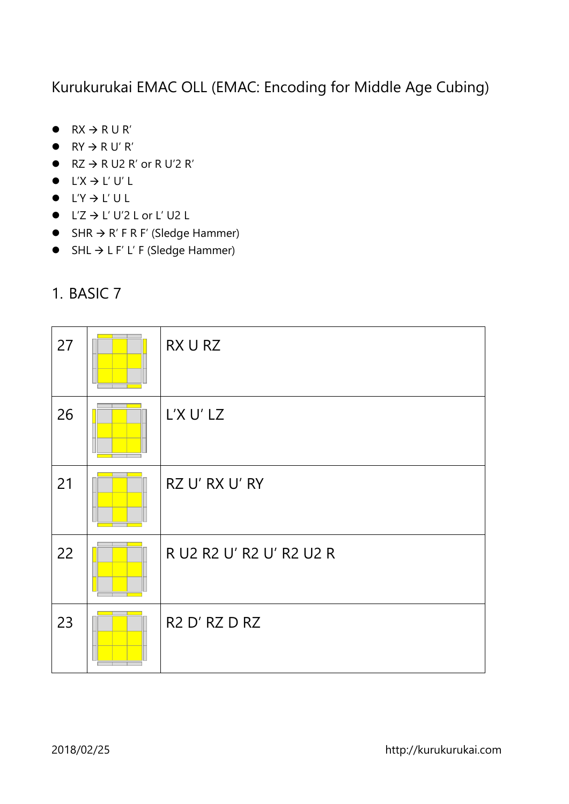Kurukurukai EMAC OLL (EMAC: Encoding for Middle Age Cubing)

- $\bullet$  RX  $\rightarrow$  RU R'
- $\bullet$  RY  $\rightarrow$  R U' R'
- $\bullet$  RZ  $\rightarrow$  R U2 R' or R U'2 R'
- $\bullet$  L'X  $\to$  L'U' L
- $L'Y \rightarrow L' U L$
- $\bullet$  L'Z  $\to$  L' U'2 L or L' U2 L
- $\bullet$  SHR  $\rightarrow$  R' F R F' (Sledge Hammer)
- $\bullet$  SHL  $\rightarrow$  L F' L' F (Sledge Hammer)
- 27  $RX U RZ$ 26  $\sqrt{25}$  L'X U' LZ 21  $\Box$  RZ U' RX U' RY 22 **FILSO R** R U2 R 2 U' R 2 U' R 2 U2 R 23  $\Box$  R2 D' RZ D RZ
- 1. BASIC 7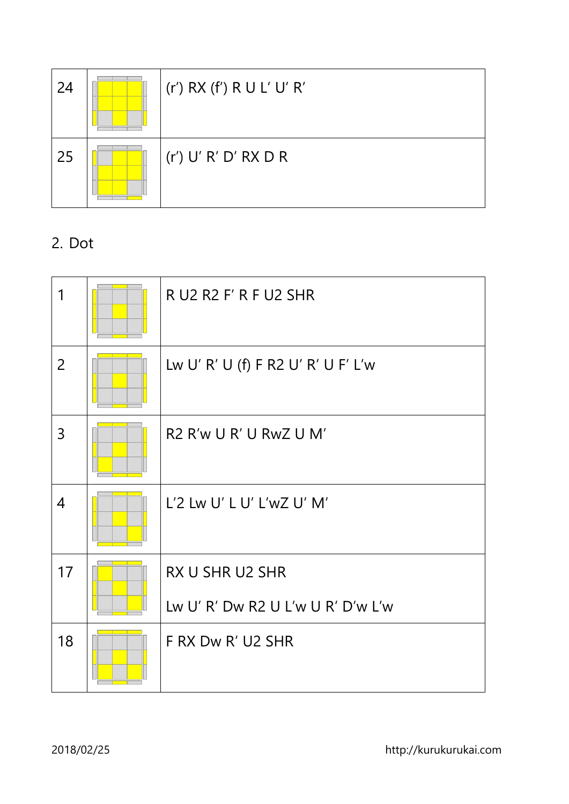| 24 | $(r')$ RX $(f')$ R U L' U' R' |
|----|-------------------------------|
| 25 | (r') U' R' D' RX D R          |

2. Dot

| 1              | R U2 R2 F' R F U2 SHR              |
|----------------|------------------------------------|
| $\overline{2}$ | Lw U' R' U (f) F R2 U' R' U F' L'w |
| 3              | R2 R'w U R' U RwZ U M'             |
| $\overline{4}$ | L'2 Lw U' L U' L'wZ U' M'          |
| 17             | RX U SHR U2 SHR                    |
|                | Lw U' R' Dw R2 U L'w U R' D'w L'w  |
| 18             | F RX Dw R' U2 SHR                  |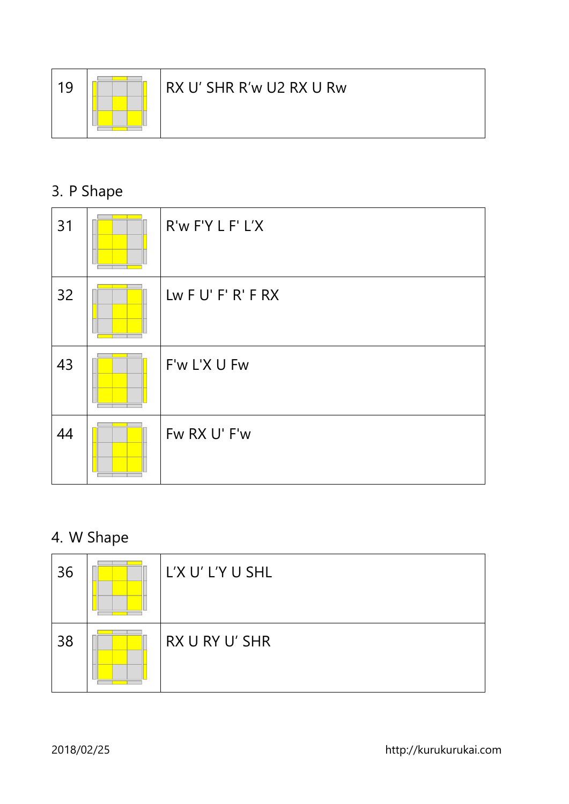

#### 19  $\sqrt{2\pi}$  RX U' SHR R'w U2 RX U Rw

## 3. P Shape

| 31 | R'w F'Y L F' L'X      |
|----|-----------------------|
| 32 | Lw $F U' F' R' F R X$ |
| 43 | F'w L'X U Fw          |
| 44 | Fw RX U' F'w          |

#### 4. W Shape

| 36 | L'X U' L'Y U SHL |
|----|------------------|
| 38 | RX U RY U' SHR   |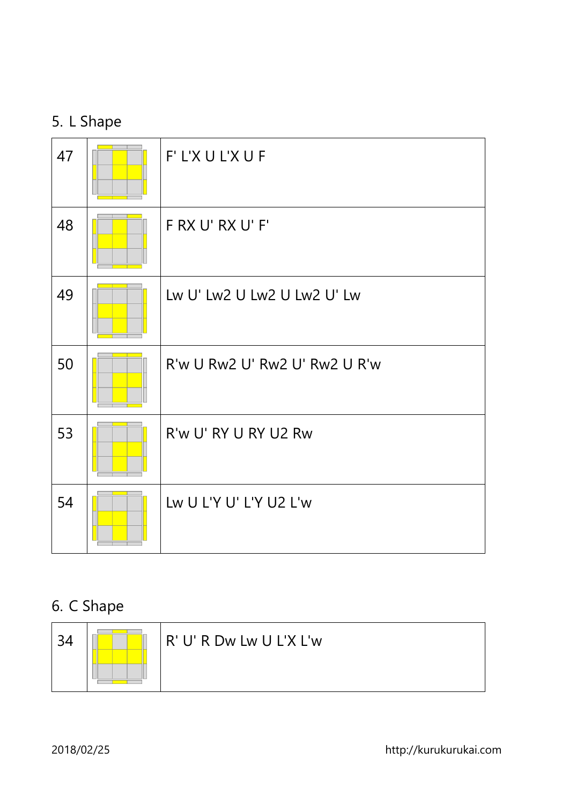#### 5. L Shape

| 47 | F' L'X U L'X U F              |
|----|-------------------------------|
| 48 | F RX U' RX U' F'              |
| 49 | Lw U' Lw2 U Lw2 U Lw2 U' Lw   |
| 50 | R'w U Rw2 U' Rw2 U' Rw2 U R'w |
| 53 | R'w U' RY U RY U2 Rw          |
| 54 | Lw U L'Y U' L'Y U2 L'w        |

## 6. C Shape

| 34 | R' U' R Dw Lw U L'X L'w |
|----|-------------------------|
|    |                         |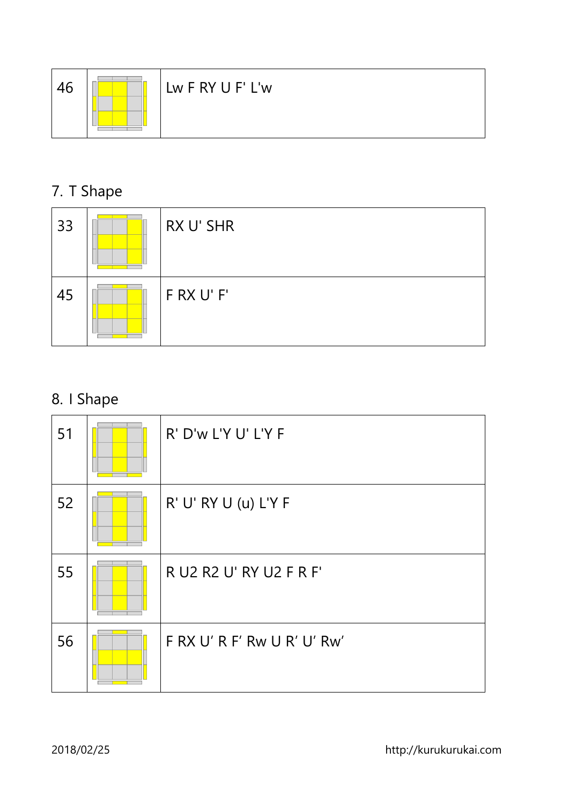

# 7. T Shape

| 33 | RX U' SHR  |
|----|------------|
| 45 | F RX U' F' |

## 8. I Shape

| 51 | R' D'w L'Y U' L'Y F         |
|----|-----------------------------|
| 52 | R' U' RY U (u) L'Y F        |
| 55 | R U2 R2 U' RY U2 F R F'     |
| 56 | F RX U' R F' Rw U R' U' Rw' |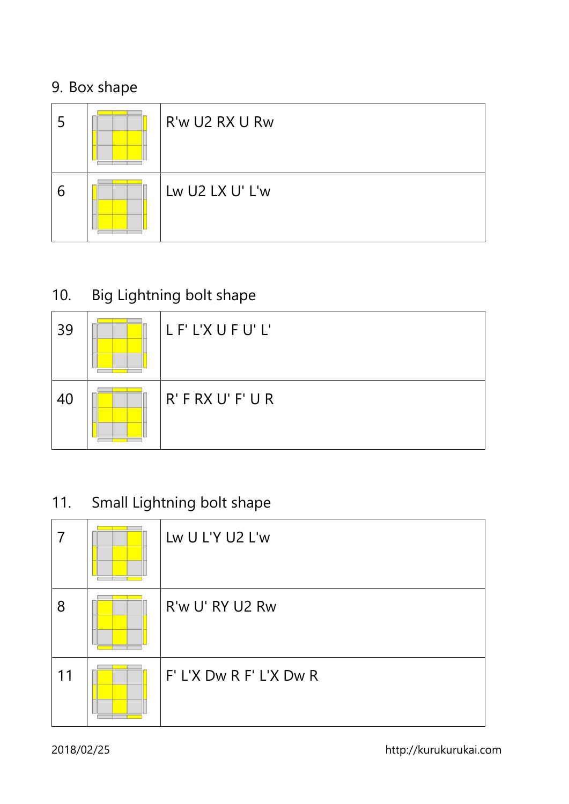#### 9. Box shape

| 5 | R'w U2 RX U Rw  |
|---|-----------------|
| 6 | Lw U2 LX U' L'w |

## 10. Big Lightning bolt shape

| 39 | LF'L'XUFU'L'        |
|----|---------------------|
| 40 | $R'$ F RX U' F' U R |

## 11. Small Lightning bolt shape

|    | Lw U L'Y U2 L'w         |
|----|-------------------------|
| 8  | R'w U' RY U2 Rw         |
| 11 | F' L'X Dw R F' L'X Dw R |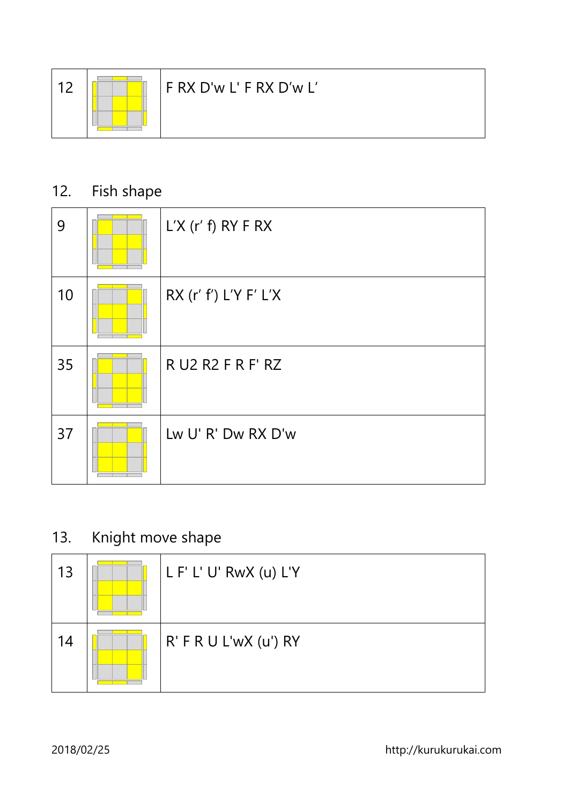

## 12. Fish shape

| 9  | $L'X$ (r' f) RY F RX    |
|----|-------------------------|
| 10 | RX $(r' f')$ L'Y F' L'X |
| 35 | R U2 R2 F R F' RZ       |
| 37 | Lw U' R' Dw RX D'w      |

#### 13. Knight move shape

| 13 | L F' L' U' RwX (u) L'Y |
|----|------------------------|
| 14 | R' F R U L'wX (u') RY  |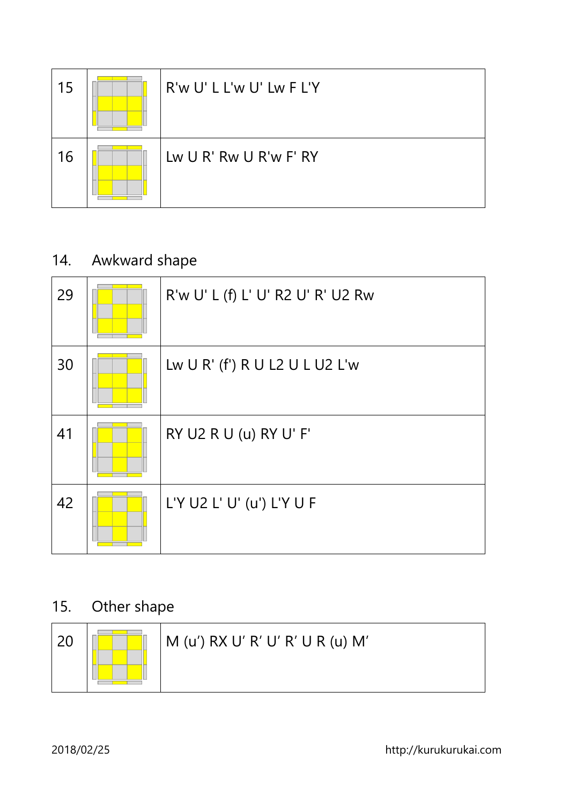| 15 | R'w U' L L'w U' Lw F L'Y |
|----|--------------------------|
| 16 | Lw U R' Rw U R'w F' RY   |

### 14. Awkward shape

| 29 | R'w U' L (f) L' U' R2 U' R' U2 Rw |
|----|-----------------------------------|
| 30 | Lw U R' (f') R U L2 U L U2 L'w    |
| 41 | RY U2 R U (u) RY U' F'            |
| 42 | L'Y U2 L' U' (u') L'Y U F         |

## 15. Other shape